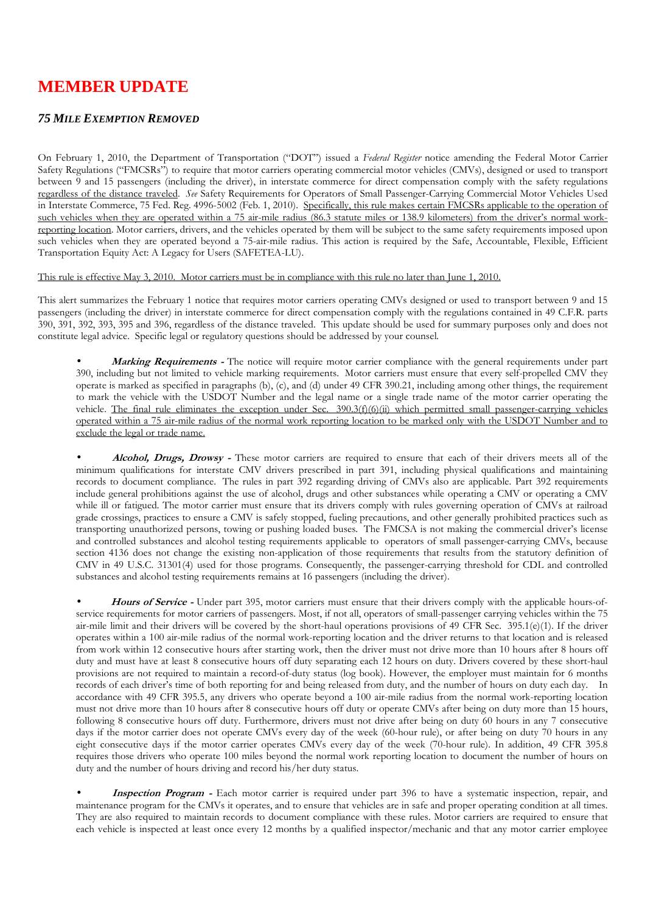## **MEMBER UPDATE**

## *75 MILE EXEMPTION REMOVED*

On February 1, 2010, the Department of Transportation ("DOT") issued a *Federal Register* notice amending the Federal Motor Carrier Safety Regulations ("FMCSRs") to require that motor carriers operating commercial motor vehicles (CMVs), designed or used to transport between 9 and 15 passengers (including the driver), in interstate commerce for direct compensation comply with the safety regulations regardless of the distance traveled. *See* Safety Requirements for Operators of Small Passenger-Carrying Commercial Motor Vehicles Used in Interstate Commerce, 75 Fed. Reg. 4996-5002 (Feb. 1, 2010). Specifically, this rule makes certain FMCSRs applicable to the operation of such vehicles when they are operated within a 75 air-mile radius (86.3 statute miles or 138.9 kilometers) from the driver's normal workreporting location. Motor carriers, drivers, and the vehicles operated by them will be subject to the same safety requirements imposed upon such vehicles when they are operated beyond a 75-air-mile radius. This action is required by the Safe, Accountable, Flexible, Efficient Transportation Equity Act: A Legacy for Users (SAFETEA-LU).

This rule is effective May 3, 2010. Motor carriers must be in compliance with this rule no later than June 1, 2010.

This alert summarizes the February 1 notice that requires motor carriers operating CMVs designed or used to transport between 9 and 15 passengers (including the driver) in interstate commerce for direct compensation comply with the regulations contained in 49 C.F.R. parts 390, 391, 392, 393, 395 and 396, regardless of the distance traveled. This update should be used for summary purposes only and does not constitute legal advice. Specific legal or regulatory questions should be addressed by your counsel.

• **Marking Requirements -** The notice will require motor carrier compliance with the general requirements under part 390, including but not limited to vehicle marking requirements. Motor carriers must ensure that every self-propelled CMV they operate is marked as specified in paragraphs (b), (c), and (d) under 49 CFR 390.21, including among other things, the requirement to mark the vehicle with the USDOT Number and the legal name or a single trade name of the motor carrier operating the vehicle. The final rule eliminates the exception under Sec. 390.3(f)(6)(ii) which permitted small passenger-carrying vehicles operated within a 75 air-mile radius of the normal work reporting location to be marked only with the USDOT Number and to exclude the legal or trade name.

• **Alcohol, Drugs, Drowsy -** These motor carriers are required to ensure that each of their drivers meets all of the minimum qualifications for interstate CMV drivers prescribed in part 391, including physical qualifications and maintaining records to document compliance. The rules in part 392 regarding driving of CMVs also are applicable. Part 392 requirements include general prohibitions against the use of alcohol, drugs and other substances while operating a CMV or operating a CMV while ill or fatigued. The motor carrier must ensure that its drivers comply with rules governing operation of CMVs at railroad grade crossings, practices to ensure a CMV is safely stopped, fueling precautions, and other generally prohibited practices such as transporting unauthorized persons, towing or pushing loaded buses. The FMCSA is not making the commercial driver's license and controlled substances and alcohol testing requirements applicable to operators of small passenger-carrying CMVs, because section 4136 does not change the existing non-application of those requirements that results from the statutory definition of CMV in 49 U.S.C. 31301(4) used for those programs. Consequently, the passenger-carrying threshold for CDL and controlled substances and alcohol testing requirements remains at 16 passengers (including the driver).

• **Hours of Service -** Under part 395, motor carriers must ensure that their drivers comply with the applicable hours-ofservice requirements for motor carriers of passengers. Most, if not all, operators of small-passenger carrying vehicles within the 75 air-mile limit and their drivers will be covered by the short-haul operations provisions of 49 CFR Sec. 395.1(e)(1). If the driver operates within a 100 air-mile radius of the normal work-reporting location and the driver returns to that location and is released from work within 12 consecutive hours after starting work, then the driver must not drive more than 10 hours after 8 hours off duty and must have at least 8 consecutive hours off duty separating each 12 hours on duty. Drivers covered by these short-haul provisions are not required to maintain a record-of-duty status (log book). However, the employer must maintain for 6 months records of each driver's time of both reporting for and being released from duty, and the number of hours on duty each day. In accordance with 49 CFR 395.5, any drivers who operate beyond a 100 air-mile radius from the normal work-reporting location must not drive more than 10 hours after 8 consecutive hours off duty or operate CMVs after being on duty more than 15 hours, following 8 consecutive hours off duty. Furthermore, drivers must not drive after being on duty 60 hours in any 7 consecutive days if the motor carrier does not operate CMVs every day of the week (60-hour rule), or after being on duty 70 hours in any eight consecutive days if the motor carrier operates CMVs every day of the week (70-hour rule). In addition, 49 CFR 395.8 requires those drivers who operate 100 miles beyond the normal work reporting location to document the number of hours on duty and the number of hours driving and record his/her duty status.

• **Inspection Program -** Each motor carrier is required under part 396 to have a systematic inspection, repair, and maintenance program for the CMVs it operates, and to ensure that vehicles are in safe and proper operating condition at all times. They are also required to maintain records to document compliance with these rules. Motor carriers are required to ensure that each vehicle is inspected at least once every 12 months by a qualified inspector/mechanic and that any motor carrier employee